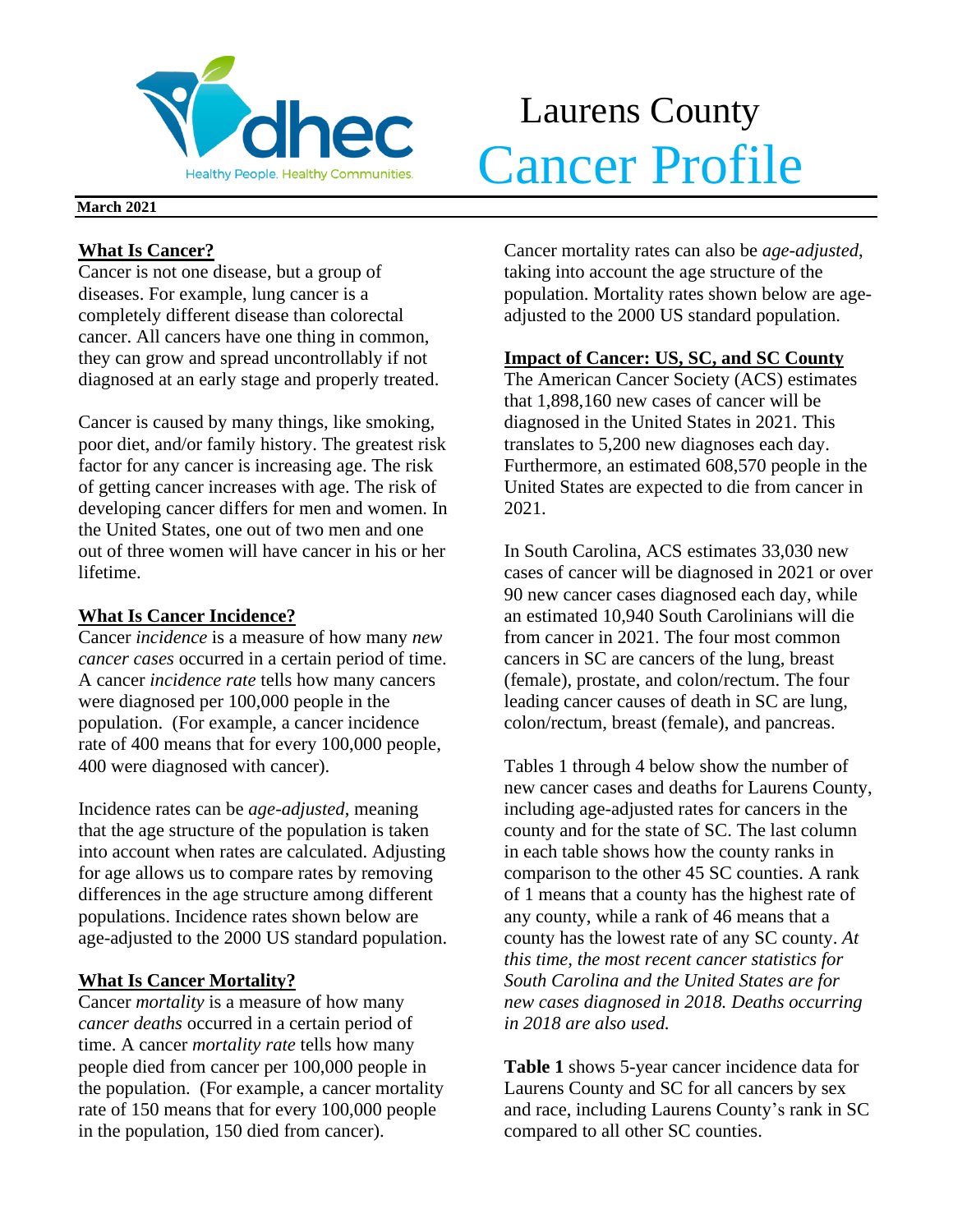

# Laurens County Meathy People. Healthy Communities. Cancer Profile

### **March 2021**

## **What Is Cancer?**

Cancer is not one disease, but a group of diseases. For example, lung cancer is a completely different disease than colorectal cancer. All cancers have one thing in common, they can grow and spread uncontrollably if not diagnosed at an early stage and properly treated.

Cancer is caused by many things, like smoking, poor diet, and/or family history. The greatest risk factor for any cancer is increasing age. The risk of getting cancer increases with age. The risk of developing cancer differs for men and women. In the United States, one out of two men and one out of three women will have cancer in his or her lifetime.

## **What Is Cancer Incidence?**

Cancer *incidence* is a measure of how many *new cancer cases* occurred in a certain period of time. A cancer *incidence rate* tells how many cancers were diagnosed per 100,000 people in the population. (For example, a cancer incidence rate of 400 means that for every 100,000 people, 400 were diagnosed with cancer).

Incidence rates can be *age-adjusted*, meaning that the age structure of the population is taken into account when rates are calculated. Adjusting for age allows us to compare rates by removing differences in the age structure among different populations. Incidence rates shown below are age-adjusted to the 2000 US standard population.

## **What Is Cancer Mortality?**

Cancer *mortality* is a measure of how many *cancer deaths* occurred in a certain period of time. A cancer *mortality rate* tells how many people died from cancer per 100,000 people in the population. (For example, a cancer mortality rate of 150 means that for every 100,000 people in the population, 150 died from cancer).

Cancer mortality rates can also be *age-adjusted*, taking into account the age structure of the population. Mortality rates shown below are ageadjusted to the 2000 US standard population.

## **Impact of Cancer: US, SC, and SC County**

The American Cancer Society (ACS) estimates that 1,898,160 new cases of cancer will be diagnosed in the United States in 2021. This translates to 5,200 new diagnoses each day. Furthermore, an estimated 608,570 people in the United States are expected to die from cancer in 2021.

In South Carolina, ACS estimates 33,030 new cases of cancer will be diagnosed in 2021 or over 90 new cancer cases diagnosed each day, while an estimated 10,940 South Carolinians will die from cancer in 2021. The four most common cancers in SC are cancers of the lung, breast (female), prostate, and colon/rectum. The four leading cancer causes of death in SC are lung, colon/rectum, breast (female), and pancreas.

Tables 1 through 4 below show the number of new cancer cases and deaths for Laurens County, including age-adjusted rates for cancers in the county and for the state of SC. The last column in each table shows how the county ranks in comparison to the other 45 SC counties. A rank of 1 means that a county has the highest rate of any county, while a rank of 46 means that a county has the lowest rate of any SC county. *At this time, the most recent cancer statistics for South Carolina and the United States are for new cases diagnosed in 2018. Deaths occurring in 2018 are also used.*

**Table 1** shows 5-year cancer incidence data for Laurens County and SC for all cancers by sex and race, including Laurens County's rank in SC compared to all other SC counties.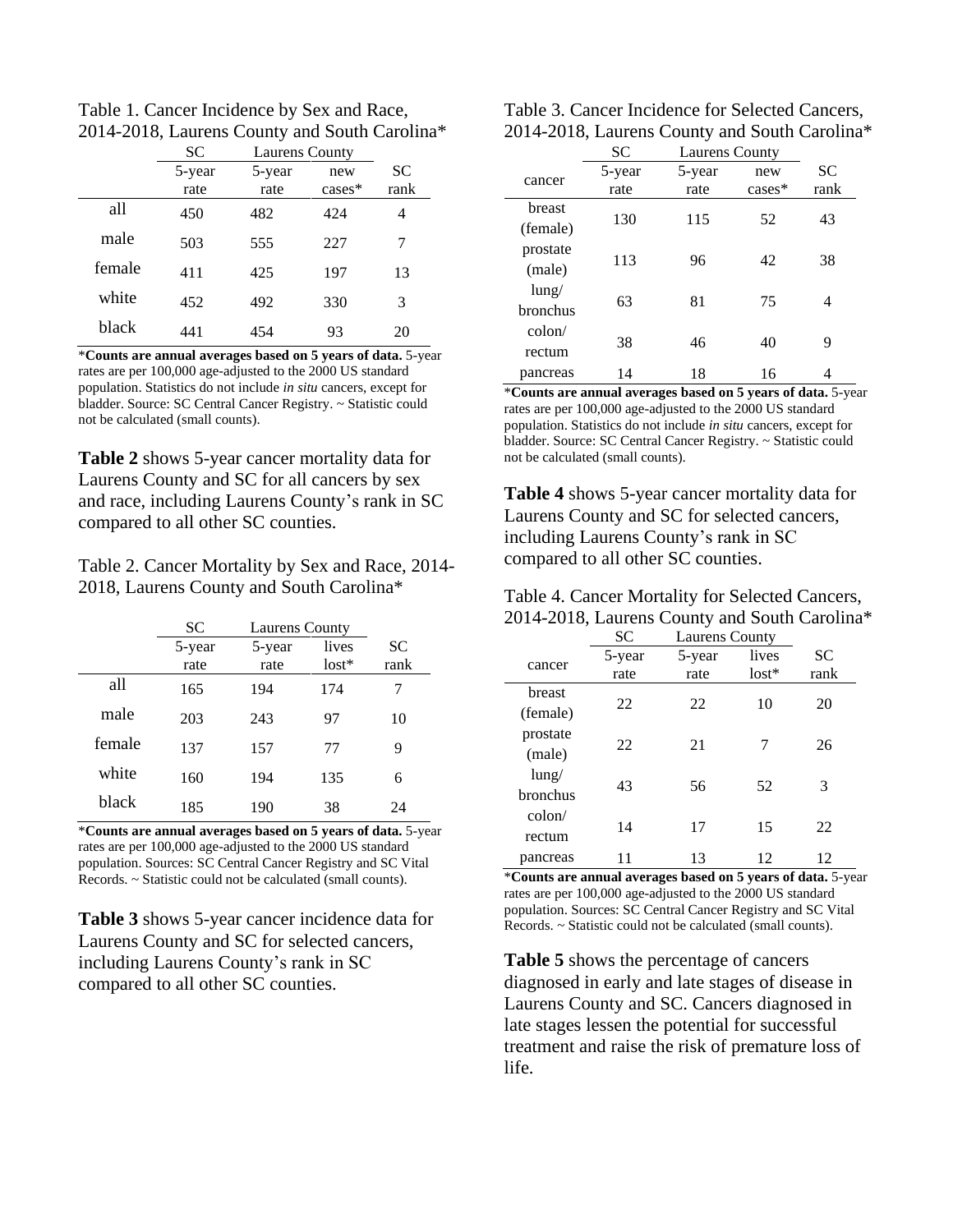Table 1. Cancer Incidence by Sex and Race, 2014-2018, Laurens County and South Carolina\*

|        | <b>SC</b> | <b>Laurens County</b> |           |           |  |
|--------|-----------|-----------------------|-----------|-----------|--|
|        | 5-year    | 5-year                | new       | <b>SC</b> |  |
|        | rate      | rate                  | $cases^*$ | rank      |  |
| all    | 450       | 482                   | 424       |           |  |
| male   | 503       | 555                   | 227       | 7         |  |
| female | 411       | 425                   | 197       | 13        |  |
| white  | 452       | 492                   | 330       | 3         |  |
| black  | 441       | 454                   | 93        | 20        |  |

\***Counts are annual averages based on 5 years of data.** 5-year rates are per 100,000 age-adjusted to the 2000 US standard population. Statistics do not include *in situ* cancers, except for bladder. Source: SC Central Cancer Registry. ~ Statistic could not be calculated (small counts).

**Table 2** shows 5-year cancer mortality data for Laurens County and SC for all cancers by sex and race, including Laurens County's rank in SC compared to all other SC counties.

Table 2. Cancer Mortality by Sex and Race, 2014- 2018, Laurens County and South Carolina\*

|        | SC     | <b>Laurens County</b> |         |      |
|--------|--------|-----------------------|---------|------|
|        | 5-year | 5-year                | lives   | SС   |
|        | rate   | rate                  | $lost*$ | rank |
| all    | 165    | 194                   | 174     |      |
| male   | 203    | 243                   | 97      | 10   |
| female | 137    | 157                   | 77      | 9    |
| white  | 160    | 194                   | 135     | 6    |
| black  | 185    | 190                   | 38      | 24   |

\***Counts are annual averages based on 5 years of data.** 5-year rates are per 100,000 age-adjusted to the 2000 US standard population. Sources: SC Central Cancer Registry and SC Vital Records. ~ Statistic could not be calculated (small counts).

**Table 3** shows 5-year cancer incidence data for Laurens County and SC for selected cancers, including Laurens County's rank in SC compared to all other SC counties.

| Table 3. Cancer Incidence for Selected Cancers, |  |
|-------------------------------------------------|--|
| 2014-2018, Laurens County and South Carolina*   |  |

|                                   | SC     | <b>Laurens County</b> |          |           |  |
|-----------------------------------|--------|-----------------------|----------|-----------|--|
| cancer                            | 5-year | 5-year                | new      | <b>SC</b> |  |
|                                   | rate   | rate                  | $cases*$ | rank      |  |
| breast                            |        |                       |          |           |  |
| (female)                          | 130    | 115                   | 52       | 43        |  |
| prostate                          |        |                       |          |           |  |
| (male)                            | 113    | 96                    | 42       | 38        |  |
| $\frac{\text{lung}}{\text{lang}}$ |        |                       |          |           |  |
| <b>bronchus</b>                   | 63     | 81                    | 75       | 4         |  |
| $\text{colon}/$                   |        |                       |          |           |  |
| rectum                            | 38     | 46                    | 40       | 9         |  |
| pancreas                          | 14     | 18                    | 16       |           |  |

\***Counts are annual averages based on 5 years of data.** 5-year rates are per 100,000 age-adjusted to the 2000 US standard population. Statistics do not include *in situ* cancers, except for bladder. Source: SC Central Cancer Registry. ~ Statistic could not be calculated (small counts).

**Table 4** shows 5-year cancer mortality data for Laurens County and SC for selected cancers, including Laurens County's rank in SC compared to all other SC counties.

| Table 4. Cancer Mortality for Selected Cancers, |
|-------------------------------------------------|
| 2014-2018, Laurens County and South Carolina*   |

|                 | SС     | Laurens County |         |      |
|-----------------|--------|----------------|---------|------|
| cancer          | 5-year | 5-year         | lives   | SC   |
|                 | rate   | rate           | $lost*$ | rank |
| breast          | 22     | 22             | 10      | 20   |
| (female)        |        |                |         |      |
| prostate        | 22     | 21             | 7       | 26   |
| (male)          |        |                |         |      |
| $l$ ung/        | 43     | 56             | 52      | 3    |
| <b>bronchus</b> |        |                |         |      |
| $\text{colon}/$ | 14     | 17             | 15      | 22   |
| rectum          |        |                |         |      |
| pancreas        |        | 13             | 12      | 12   |

\***Counts are annual averages based on 5 years of data.** 5-year rates are per 100,000 age-adjusted to the 2000 US standard population. Sources: SC Central Cancer Registry and SC Vital Records. ~ Statistic could not be calculated (small counts).

**Table 5** shows the percentage of cancers diagnosed in early and late stages of disease in Laurens County and SC. Cancers diagnosed in late stages lessen the potential for successful treatment and raise the risk of premature loss of life.